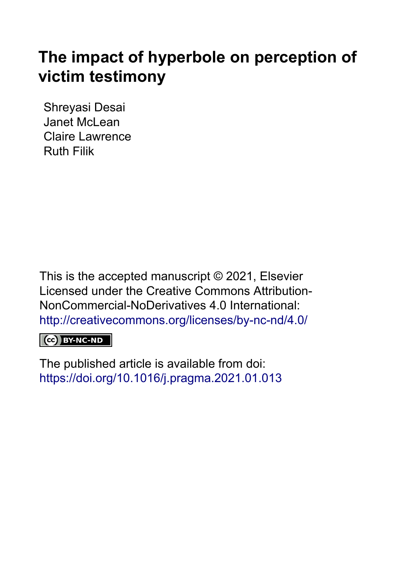# **The impact of hyperbole on perception of victim testimony**

Shreyasi Desai Janet McLean Claire Lawrence Ruth Filik

This is the accepted manuscript © 2021, Elsevier Licensed under the Creative Commons Attribution-NonCommercial-NoDerivatives 4.0 International: <http://creativecommons.org/licenses/by-nc-nd/4.0/>

# CC BY-NC-ND

The published article is available from doi: <https://doi.org/10.1016/j.pragma.2021.01.013>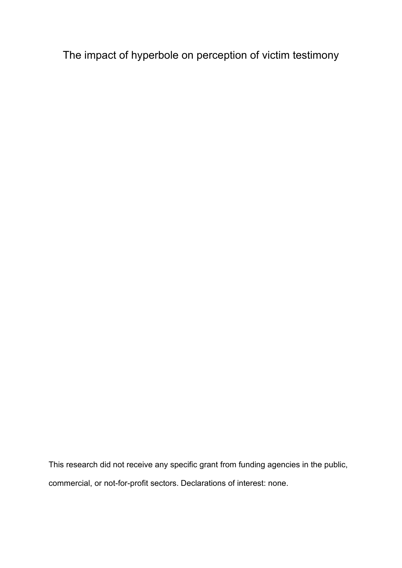The impact of hyperbole on perception of victim testimony

This research did not receive any specific grant from funding agencies in the public, commercial, or not-for-profit sectors. Declarations of interest: none.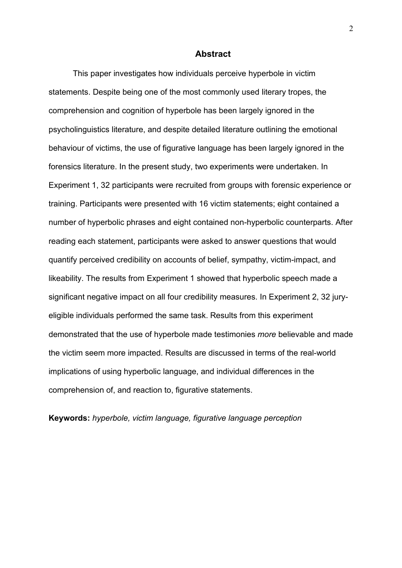#### **Abstract**

This paper investigates how individuals perceive hyperbole in victim statements. Despite being one of the most commonly used literary tropes, the comprehension and cognition of hyperbole has been largely ignored in the psycholinguistics literature, and despite detailed literature outlining the emotional behaviour of victims, the use of figurative language has been largely ignored in the forensics literature. In the present study, two experiments were undertaken. In Experiment 1, 32 participants were recruited from groups with forensic experience or training. Participants were presented with 16 victim statements; eight contained a number of hyperbolic phrases and eight contained non-hyperbolic counterparts. After reading each statement, participants were asked to answer questions that would quantify perceived credibility on accounts of belief, sympathy, victim-impact, and likeability. The results from Experiment 1 showed that hyperbolic speech made a significant negative impact on all four credibility measures. In Experiment 2, 32 juryeligible individuals performed the same task. Results from this experiment demonstrated that the use of hyperbole made testimonies *more* believable and made the victim seem more impacted. Results are discussed in terms of the real-world implications of using hyperbolic language, and individual differences in the comprehension of, and reaction to, figurative statements.

**Keywords:** *hyperbole, victim language, figurative language perception*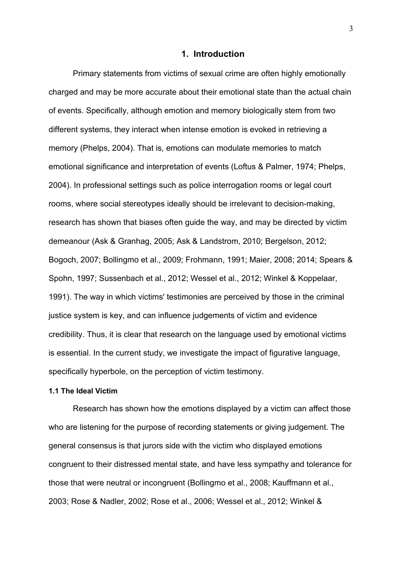#### **1. Introduction**

Primary statements from victims of sexual crime are often highly emotionally charged and may be more accurate about their emotional state than the actual chain of events. Specifically, although emotion and memory biologically stem from two different systems, they interact when intense emotion is evoked in retrieving a memory (Phelps, 2004). That is, emotions can modulate memories to match emotional significance and interpretation of events (Loftus & Palmer, 1974; Phelps, 2004). In professional settings such as police interrogation rooms or legal court rooms, where social stereotypes ideally should be irrelevant to decision-making, research has shown that biases often guide the way, and may be directed by victim demeanour (Ask & Granhag, 2005; Ask & Landstrom, 2010; Bergelson, 2012; Bogoch, 2007; Bollingmo et al., 2009; Frohmann, 1991; Maier, 2008; 2014; Spears & Spohn, 1997; Sussenbach et al., 2012; Wessel et al., 2012; Winkel & Koppelaar, 1991). The way in which victims' testimonies are perceived by those in the criminal justice system is key, and can influence judgements of victim and evidence credibility. Thus, it is clear that research on the language used by emotional victims is essential. In the current study, we investigate the impact of figurative language, specifically hyperbole, on the perception of victim testimony.

#### **1.1 The Ideal Victim**

Research has shown how the emotions displayed by a victim can affect those who are listening for the purpose of recording statements or giving judgement. The general consensus is that jurors side with the victim who displayed emotions congruent to their distressed mental state, and have less sympathy and tolerance for those that were neutral or incongruent (Bollingmo et al., 2008; Kauffmann et al., 2003; Rose & Nadler, 2002; Rose et al., 2006; Wessel et al., 2012; Winkel &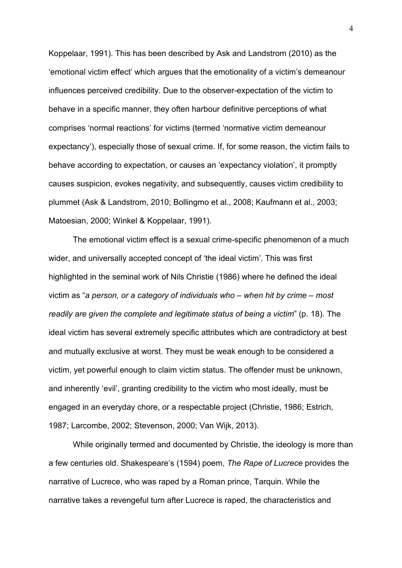Koppelaar, 1991). This has been described by Ask and Landstrom (2010) as the 'emotional victim effect' which argues that the emotionality of a victim's demeanour influences perceived credibility. Due to the observer-expectation of the victim to behave in a specific manner, they often harbour definitive perceptions of what comprises 'normal reactions' for victims (termed 'normative victim demeanour expectancy'), especially those of sexual crime. If, for some reason, the victim fails to behave according to expectation, or causes an 'expectancy violation', it promptly causes suspicion, evokes negativity, and subsequently, causes victim credibility to plummet (Ask & Landstrom, 2010; Bollingmo et al., 2008; Kaufmann et al., 2003; Matoesian, 2000; Winkel & Koppelaar, 1991).

The emotional victim effect is a sexual crime-specific phenomenon of a much wider, and universally accepted concept of 'the ideal victim'. This was first highlighted in the seminal work of Nils Christie (1986) where he defined the ideal victim as "*a person, or a category of individuals who – when hit by crime – most readily are given the complete and legitimate status of being a victim*" (p. 18). The ideal victim has several extremely specific attributes which are contradictory at best and mutually exclusive at worst. They must be weak enough to be considered a victim, yet powerful enough to claim victim status. The offender must be unknown, and inherently 'evil', granting credibility to the victim who most ideally, must be engaged in an everyday chore, or a respectable project (Christie, 1986; Estrich, 1987; Larcombe, 2002; Stevenson, 2000; Van Wijk, 2013).

While originally termed and documented by Christie, the ideology is more than a few centuries old. Shakespeare's (1594) poem, *The Rape of Lucrece* provides the narrative of Lucrece, who was raped by a Roman prince, Tarquin. While the narrative takes a revengeful turn after Lucrece is raped, the characteristics and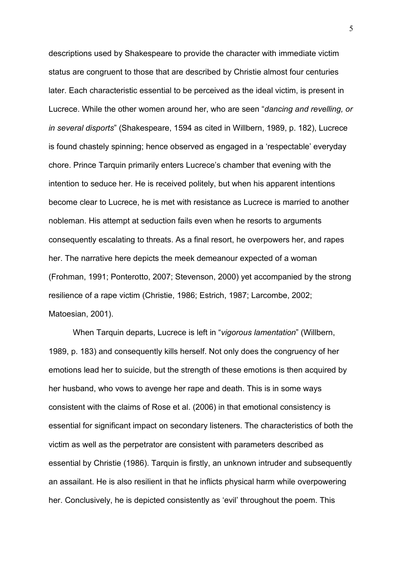descriptions used by Shakespeare to provide the character with immediate victim status are congruent to those that are described by Christie almost four centuries later. Each characteristic essential to be perceived as the ideal victim, is present in Lucrece. While the other women around her, who are seen "*dancing and revelling, or in several disports*" (Shakespeare, 1594 as cited in Willbern, 1989, p. 182), Lucrece is found chastely spinning; hence observed as engaged in a 'respectable' everyday chore. Prince Tarquin primarily enters Lucrece's chamber that evening with the intention to seduce her. He is received politely, but when his apparent intentions become clear to Lucrece, he is met with resistance as Lucrece is married to another nobleman. His attempt at seduction fails even when he resorts to arguments consequently escalating to threats. As a final resort, he overpowers her, and rapes her. The narrative here depicts the meek demeanour expected of a woman (Frohman, 1991; Ponterotto, 2007; Stevenson, 2000) yet accompanied by the strong resilience of a rape victim (Christie, 1986; Estrich, 1987; Larcombe, 2002; Matoesian, 2001).

When Tarquin departs, Lucrece is left in "*vigorous lamentation*" (Willbern, 1989, p. 183) and consequently kills herself. Not only does the congruency of her emotions lead her to suicide, but the strength of these emotions is then acquired by her husband, who vows to avenge her rape and death. This is in some ways consistent with the claims of Rose et al. (2006) in that emotional consistency is essential for significant impact on secondary listeners. The characteristics of both the victim as well as the perpetrator are consistent with parameters described as essential by Christie (1986). Tarquin is firstly, an unknown intruder and subsequently an assailant. He is also resilient in that he inflicts physical harm while overpowering her. Conclusively, he is depicted consistently as 'evil' throughout the poem. This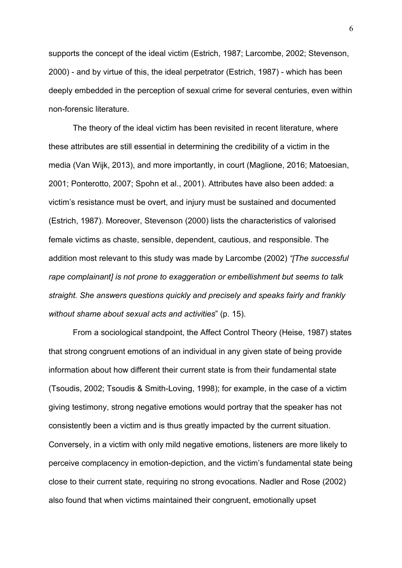supports the concept of the ideal victim (Estrich, 1987; Larcombe, 2002; Stevenson, 2000) - and by virtue of this, the ideal perpetrator (Estrich, 1987) - which has been deeply embedded in the perception of sexual crime for several centuries, even within non-forensic literature.

The theory of the ideal victim has been revisited in recent literature, where these attributes are still essential in determining the credibility of a victim in the media (Van Wijk, 2013), and more importantly, in court (Maglione, 2016; Matoesian, 2001; Ponterotto, 2007; Spohn et al., 2001). Attributes have also been added: a victim's resistance must be overt, and injury must be sustained and documented (Estrich, 1987). Moreover, Stevenson (2000) lists the characteristics of valorised female victims as chaste, sensible, dependent, cautious, and responsible. The addition most relevant to this study was made by Larcombe (2002) *"[The successful rape complainant] is not prone to exaggeration or embellishment but seems to talk straight. She answers questions quickly and precisely and speaks fairly and frankly without shame about sexual acts and activities*" (p. 15).

From a sociological standpoint, the Affect Control Theory (Heise, 1987) states that strong congruent emotions of an individual in any given state of being provide information about how different their current state is from their fundamental state (Tsoudis, 2002; Tsoudis & Smith-Loving, 1998); for example, in the case of a victim giving testimony, strong negative emotions would portray that the speaker has not consistently been a victim and is thus greatly impacted by the current situation. Conversely, in a victim with only mild negative emotions, listeners are more likely to perceive complacency in emotion-depiction, and the victim's fundamental state being close to their current state, requiring no strong evocations. Nadler and Rose (2002) also found that when victims maintained their congruent, emotionally upset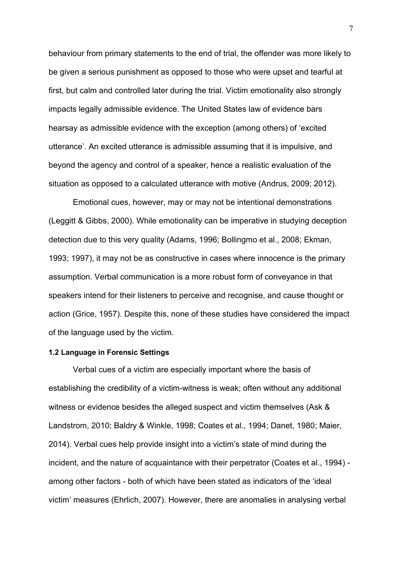behaviour from primary statements to the end of trial, the offender was more likely to be given a serious punishment as opposed to those who were upset and tearful at first, but calm and controlled later during the trial. Victim emotionality also strongly impacts legally admissible evidence. The United States law of evidence bars hearsay as admissible evidence with the exception (among others) of 'excited utterance'. An excited utterance is admissible assuming that it is impulsive, and beyond the agency and control of a speaker, hence a realistic evaluation of the situation as opposed to a calculated utterance with motive (Andrus, 2009; 2012).

Emotional cues, however, may or may not be intentional demonstrations (Leggitt & Gibbs, 2000). While emotionality can be imperative in studying deception detection due to this very quality (Adams, 1996; Bollingmo et al., 2008; Ekman, 1993; 1997), it may not be as constructive in cases where innocence is the primary assumption. Verbal communication is a more robust form of conveyance in that speakers intend for their listeners to perceive and recognise, and cause thought or action (Grice, 1957). Despite this, none of these studies have considered the impact of the language used by the victim.

# **1.2 Language in Forensic Settings**

Verbal cues of a victim are especially important where the basis of establishing the credibility of a victim-witness is weak; often without any additional witness or evidence besides the alleged suspect and victim themselves (Ask & Landstrom, 2010; Baldry & Winkle, 1998; Coates et al., 1994; Danet, 1980; Maier, 2014). Verbal cues help provide insight into a victim's state of mind during the incident, and the nature of acquaintance with their perpetrator (Coates et al., 1994) among other factors - both of which have been stated as indicators of the 'ideal victim' measures (Ehrlich, 2007). However, there are anomalies in analysing verbal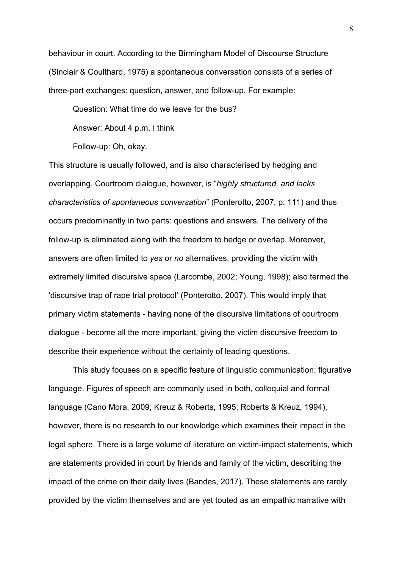behaviour in court. According to the Birmingham Model of Discourse Structure (Sinclair & Coulthard, 1975) a spontaneous conversation consists of a series of three-part exchanges: question, answer, and follow-up. For example:

Question: What time do we leave for the bus?

Answer: About 4 p.m. I think

Follow-up: Oh, okay.

This structure is usually followed, and is also characterised by hedging and overlapping. Courtroom dialogue, however, is "*highly structured, and lacks characteristics of spontaneous conversation*" (Ponterotto, 2007, p. 111) and thus occurs predominantly in two parts: questions and answers. The delivery of the follow-up is eliminated along with the freedom to hedge or overlap. Moreover, answers are often limited to *yes* or *no* alternatives, providing the victim with extremely limited discursive space (Larcombe, 2002; Young, 1998); also termed the 'discursive trap of rape trial protocol' (Ponterotto, 2007). This would imply that primary victim statements - having none of the discursive limitations of courtroom dialogue - become all the more important, giving the victim discursive freedom to describe their experience without the certainty of leading questions.

This study focuses on a specific feature of linguistic communication: figurative language. Figures of speech are commonly used in both, colloquial and formal language (Cano Mora, 2009; Kreuz & Roberts, 1995; Roberts & Kreuz, 1994), however, there is no research to our knowledge which examines their impact in the legal sphere. There is a large volume of literature on victim-impact statements, which are statements provided in court by friends and family of the victim, describing the impact of the crime on their daily lives (Bandes, 2017). These statements are rarely provided by the victim themselves and are yet touted as an empathic narrative with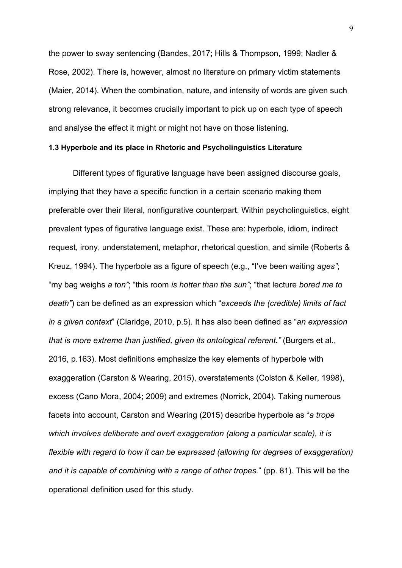the power to sway sentencing (Bandes, 2017; Hills & Thompson, 1999; Nadler & Rose, 2002). There is, however, almost no literature on primary victim statements (Maier, 2014). When the combination, nature, and intensity of words are given such strong relevance, it becomes crucially important to pick up on each type of speech and analyse the effect it might or might not have on those listening.

#### **1.3 Hyperbole and its place in Rhetoric and Psycholinguistics Literature**

Different types of figurative language have been assigned discourse goals, implying that they have a specific function in a certain scenario making them preferable over their literal, nonfigurative counterpart. Within psycholinguistics, eight prevalent types of figurative language exist. These are: hyperbole, idiom, indirect request, irony, understatement, metaphor, rhetorical question, and simile (Roberts & Kreuz, 1994). The hyperbole as a figure of speech (e.g., "I've been waiting *ages"*; "my bag weighs *a ton"*; "this room *is hotter than the sun"*; "that lecture *bored me to death"*) can be defined as an expression which "*exceeds the (credible) limits of fact in a given context*" (Claridge, 2010, p.5). It has also been defined as "*an expression that is more extreme than justified, given its ontological referent."* (Burgers et al., 2016, p.163). Most definitions emphasize the key elements of hyperbole with exaggeration (Carston & Wearing, 2015), overstatements (Colston & Keller, 1998), excess (Cano Mora, 2004; 2009) and extremes (Norrick, 2004). Taking numerous facets into account, Carston and Wearing (2015) describe hyperbole as "*a trope which involves deliberate and overt exaggeration (along a particular scale), it is flexible with regard to how it can be expressed (allowing for degrees of exaggeration) and it is capable of combining with a range of other tropes.*" (pp. 81). This will be the operational definition used for this study.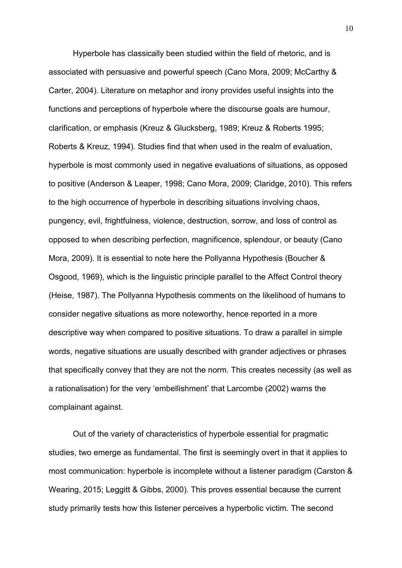Hyperbole has classically been studied within the field of rhetoric, and is associated with persuasive and powerful speech (Cano Mora, 2009; McCarthy & Carter, 2004). Literature on metaphor and irony provides useful insights into the functions and perceptions of hyperbole where the discourse goals are humour, clarification, or emphasis (Kreuz & Glucksberg, 1989; Kreuz & Roberts 1995; Roberts & Kreuz, 1994). Studies find that when used in the realm of evaluation, hyperbole is most commonly used in negative evaluations of situations, as opposed to positive (Anderson & Leaper, 1998; Cano Mora, 2009; Claridge, 2010). This refers to the high occurrence of hyperbole in describing situations involving chaos, pungency, evil, frightfulness, violence, destruction, sorrow, and loss of control as opposed to when describing perfection, magnificence, splendour, or beauty (Cano Mora, 2009). It is essential to note here the Pollyanna Hypothesis (Boucher & Osgood, 1969), which is the linguistic principle parallel to the Affect Control theory (Heise, 1987). The Pollyanna Hypothesis comments on the likelihood of humans to consider negative situations as more noteworthy, hence reported in a more descriptive way when compared to positive situations. To draw a parallel in simple words, negative situations are usually described with grander adjectives or phrases that specifically convey that they are not the norm. This creates necessity (as well as a rationalisation) for the very 'embellishment' that Larcombe (2002) warns the complainant against.

Out of the variety of characteristics of hyperbole essential for pragmatic studies, two emerge as fundamental. The first is seemingly overt in that it applies to most communication: hyperbole is incomplete without a listener paradigm (Carston & Wearing, 2015; Leggitt & Gibbs, 2000). This proves essential because the current study primarily tests how this listener perceives a hyperbolic victim. The second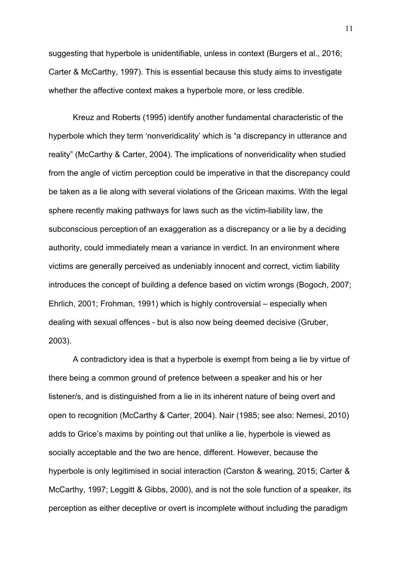suggesting that hyperbole is unidentifiable, unless in context (Burgers et al., 2016; Carter & McCarthy, 1997). This is essential because this study aims to investigate whether the affective context makes a hyperbole more, or less credible.

Kreuz and Roberts (1995) identify another fundamental characteristic of the hyperbole which they term 'nonveridicality' which is "a discrepancy in utterance and reality" (McCarthy & Carter, 2004). The implications of nonveridicality when studied from the angle of victim perception could be imperative in that the discrepancy could be taken as a lie along with several violations of the Gricean maxims. With the legal sphere recently making pathways for laws such as the victim-liability law, the subconscious perception of an exaggeration as a discrepancy or a lie by a deciding authority, could immediately mean a variance in verdict. In an environment where victims are generally perceived as undeniably innocent and correct, victim liability introduces the concept of building a defence based on victim wrongs (Bogoch, 2007; Ehrlich, 2001; Frohman, 1991) which is highly controversial – especially when dealing with sexual offences - but is also now being deemed decisive (Gruber, 2003).

A contradictory idea is that a hyperbole is exempt from being a lie by virtue of there being a common ground of pretence between a speaker and his or her listener/s, and is distinguished from a lie in its inherent nature of being overt and open to recognition (McCarthy & Carter, 2004). Nair (1985; see also: Nemesi, 2010) adds to Grice's maxims by pointing out that unlike a lie, hyperbole is viewed as socially acceptable and the two are hence, different. However, because the hyperbole is only legitimised in social interaction (Carston & wearing, 2015; Carter & McCarthy, 1997; Leggitt & Gibbs, 2000), and is not the sole function of a speaker, its perception as either deceptive or overt is incomplete without including the paradigm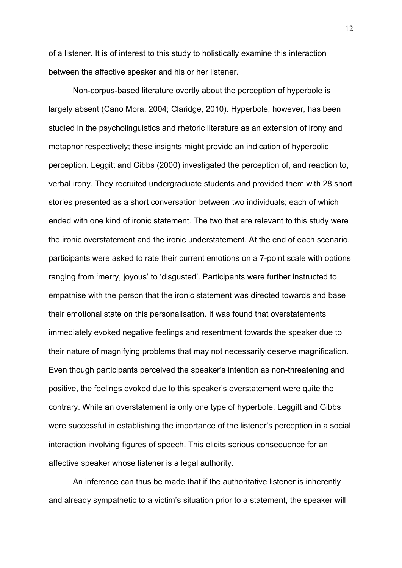of a listener. It is of interest to this study to holistically examine this interaction between the affective speaker and his or her listener.

Non-corpus-based literature overtly about the perception of hyperbole is largely absent (Cano Mora, 2004; Claridge, 2010). Hyperbole, however, has been studied in the psycholinguistics and rhetoric literature as an extension of irony and metaphor respectively; these insights might provide an indication of hyperbolic perception. Leggitt and Gibbs (2000) investigated the perception of, and reaction to, verbal irony. They recruited undergraduate students and provided them with 28 short stories presented as a short conversation between two individuals; each of which ended with one kind of ironic statement. The two that are relevant to this study were the ironic overstatement and the ironic understatement. At the end of each scenario, participants were asked to rate their current emotions on a 7-point scale with options ranging from 'merry, joyous' to 'disgusted'. Participants were further instructed to empathise with the person that the ironic statement was directed towards and base their emotional state on this personalisation. It was found that overstatements immediately evoked negative feelings and resentment towards the speaker due to their nature of magnifying problems that may not necessarily deserve magnification. Even though participants perceived the speaker's intention as non-threatening and positive, the feelings evoked due to this speaker's overstatement were quite the contrary. While an overstatement is only one type of hyperbole, Leggitt and Gibbs were successful in establishing the importance of the listener's perception in a social interaction involving figures of speech. This elicits serious consequence for an affective speaker whose listener is a legal authority.

An inference can thus be made that if the authoritative listener is inherently and already sympathetic to a victim's situation prior to a statement, the speaker will

12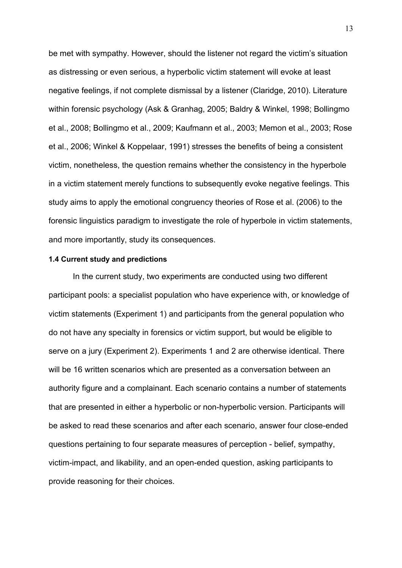be met with sympathy. However, should the listener not regard the victim's situation as distressing or even serious, a hyperbolic victim statement will evoke at least negative feelings, if not complete dismissal by a listener (Claridge, 2010). Literature within forensic psychology (Ask & Granhag, 2005; Baldry & Winkel, 1998; Bollingmo et al., 2008; Bollingmo et al., 2009; Kaufmann et al., 2003; Memon et al., 2003; Rose et al., 2006; Winkel & Koppelaar, 1991) stresses the benefits of being a consistent victim, nonetheless, the question remains whether the consistency in the hyperbole in a victim statement merely functions to subsequently evoke negative feelings. This study aims to apply the emotional congruency theories of Rose et al. (2006) to the forensic linguistics paradigm to investigate the role of hyperbole in victim statements, and more importantly, study its consequences.

# **1.4 Current study and predictions**

In the current study, two experiments are conducted using two different participant pools: a specialist population who have experience with, or knowledge of victim statements (Experiment 1) and participants from the general population who do not have any specialty in forensics or victim support, but would be eligible to serve on a jury (Experiment 2). Experiments 1 and 2 are otherwise identical. There will be 16 written scenarios which are presented as a conversation between an authority figure and a complainant. Each scenario contains a number of statements that are presented in either a hyperbolic or non-hyperbolic version. Participants will be asked to read these scenarios and after each scenario, answer four close-ended questions pertaining to four separate measures of perception - belief, sympathy, victim-impact, and likability, and an open-ended question, asking participants to provide reasoning for their choices.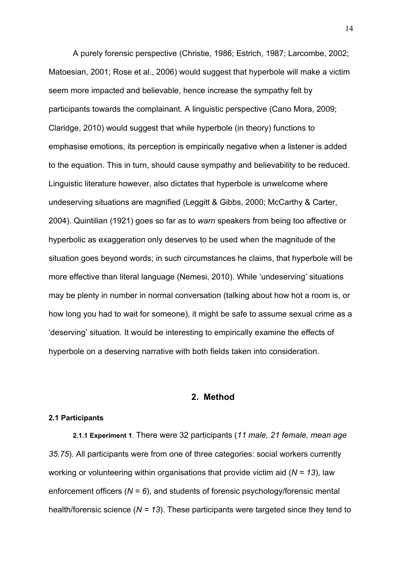A purely forensic perspective (Christie, 1986; Estrich, 1987; Larcombe, 2002; Matoesian, 2001; Rose et al., 2006) would suggest that hyperbole will make a victim seem more impacted and believable, hence increase the sympathy felt by participants towards the complainant. A linguistic perspective (Cano Mora, 2009; Claridge, 2010) would suggest that while hyperbole (in theory) functions to emphasise emotions, its perception is empirically negative when a listener is added to the equation. This in turn, should cause sympathy and believability to be reduced. Linguistic literature however, also dictates that hyperbole is unwelcome where undeserving situations are magnified (Leggitt & Gibbs, 2000; McCarthy & Carter, 2004). Quintilian (1921) goes so far as to *warn* speakers from being too affective or hyperbolic as exaggeration only deserves to be used when the magnitude of the situation goes beyond words; in such circumstances he claims, that hyperbole will be more effective than literal language (Nemesi, 2010). While 'undeserving' situations may be plenty in number in normal conversation (talking about how hot a room is, or how long you had to wait for someone), it might be safe to assume sexual crime as a 'deserving' situation. It would be interesting to empirically examine the effects of hyperbole on a deserving narrative with both fields taken into consideration.

# **2. Method**

## **2.1 Participants**

**2.1.1 Experiment 1**. There were 32 participants (*11 male, 21 female, mean age 35.75*). All participants were from one of three categories: social workers currently working or volunteering within organisations that provide victim aid (*N = 13*), law enforcement officers (*N = 6*), and students of forensic psychology/forensic mental health/forensic science (*N = 13*). These participants were targeted since they tend to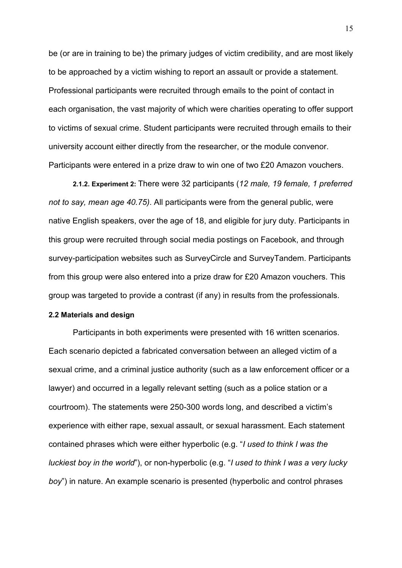be (or are in training to be) the primary judges of victim credibility, and are most likely to be approached by a victim wishing to report an assault or provide a statement. Professional participants were recruited through emails to the point of contact in each organisation, the vast majority of which were charities operating to offer support to victims of sexual crime. Student participants were recruited through emails to their university account either directly from the researcher, or the module convenor. Participants were entered in a prize draw to win one of two £20 Amazon vouchers.

**2.1.2. Experiment 2:** There were 32 participants (*12 male, 19 female, 1 preferred not to say, mean age 40.75)*. All participants were from the general public, were native English speakers, over the age of 18, and eligible for jury duty. Participants in this group were recruited through social media postings on Facebook, and through survey-participation websites such as SurveyCircle and SurveyTandem. Participants from this group were also entered into a prize draw for £20 Amazon vouchers. This group was targeted to provide a contrast (if any) in results from the professionals.

# **2.2 Materials and design**

Participants in both experiments were presented with 16 written scenarios. Each scenario depicted a fabricated conversation between an alleged victim of a sexual crime, and a criminal justice authority (such as a law enforcement officer or a lawyer) and occurred in a legally relevant setting (such as a police station or a courtroom). The statements were 250-300 words long, and described a victim's experience with either rape, sexual assault, or sexual harassment. Each statement contained phrases which were either hyperbolic (e.g. "*I used to think I was the luckiest boy in the world*"), or non-hyperbolic (e.g. "*I used to think I was a very lucky boy*") in nature. An example scenario is presented (hyperbolic and control phrases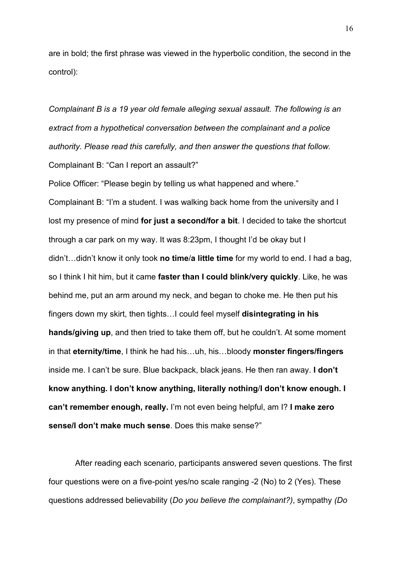are in bold; the first phrase was viewed in the hyperbolic condition, the second in the control):

*Complainant B is a 19 year old female alleging sexual assault. The following is an extract from a hypothetical conversation between the complainant and a police authority. Please read this carefully, and then answer the questions that follow.* Complainant B: "Can I report an assault?"

Police Officer: "Please begin by telling us what happened and where." Complainant B: "I'm a student. I was walking back home from the university and I lost my presence of mind **for just a second/for a bit**. I decided to take the shortcut through a car park on my way. It was 8:23pm, I thought I'd be okay but I didn't…didn't know it only took **no time**/**a little time** for my world to end. I had a bag, so I think I hit him, but it came **faster than I could blink/very quickly**. Like, he was behind me, put an arm around my neck, and began to choke me. He then put his fingers down my skirt, then tights…I could feel myself **disintegrating in his hands/giving up**, and then tried to take them off, but he couldn't. At some moment in that **eternity/time**, I think he had his…uh, his…bloody **monster fingers/fingers** inside me. I can't be sure. Blue backpack, black jeans. He then ran away. **I don't know anything. I don't know anything, literally nothing**/**I don't know enough. I can't remember enough, really.** I'm not even being helpful, am I? **I make zero sense/I don't make much sense**. Does this make sense?"

After reading each scenario, participants answered seven questions. The first four questions were on a five-point yes/no scale ranging -2 (No) to 2 (Yes). These questions addressed believability (*Do you believe the complainant?)*, sympathy *(Do*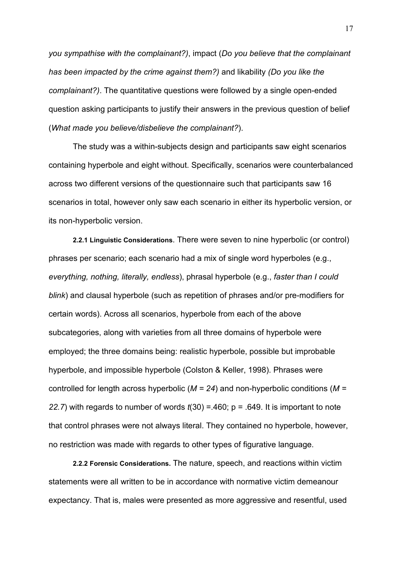*you sympathise with the complainant?)*, impact (*Do you believe that the complainant has been impacted by the crime against them?)* and likability *(Do you like the complainant?)*. The quantitative questions were followed by a single open-ended question asking participants to justify their answers in the previous question of belief (*What made you believe/disbelieve the complainant?*).

The study was a within-subjects design and participants saw eight scenarios containing hyperbole and eight without. Specifically, scenarios were counterbalanced across two different versions of the questionnaire such that participants saw 16 scenarios in total, however only saw each scenario in either its hyperbolic version, or its non-hyperbolic version.

**2.2.1 Linguistic Considerations**. There were seven to nine hyperbolic (or control) phrases per scenario; each scenario had a mix of single word hyperboles (e.g., *everything, nothing, literally, endless*), phrasal hyperbole (e.g., *faster than I could blink*) and clausal hyperbole (such as repetition of phrases and/or pre-modifiers for certain words). Across all scenarios, hyperbole from each of the above subcategories, along with varieties from all three domains of hyperbole were employed; the three domains being: realistic hyperbole, possible but improbable hyperbole, and impossible hyperbole (Colston & Keller, 1998). Phrases were controlled for length across hyperbolic (*M = 24*) and non-hyperbolic conditions (*M = 22.7*) with regards to number of words *t*(30) =.460; p = .649. It is important to note that control phrases were not always literal. They contained no hyperbole, however, no restriction was made with regards to other types of figurative language.

**2.2.2 Forensic Considerations.** The nature, speech, and reactions within victim statements were all written to be in accordance with normative victim demeanour expectancy. That is, males were presented as more aggressive and resentful, used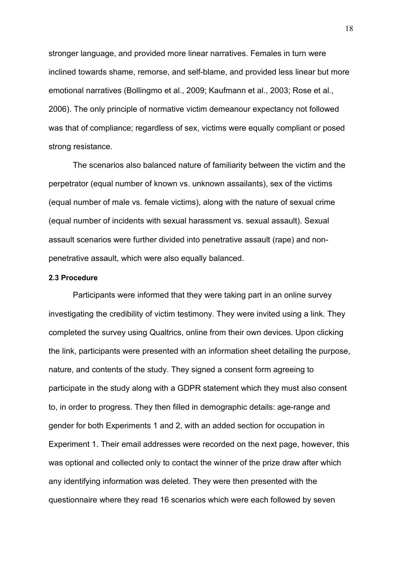stronger language, and provided more linear narratives. Females in turn were inclined towards shame, remorse, and self-blame, and provided less linear but more emotional narratives (Bollingmo et al., 2009; Kaufmann et al., 2003; Rose et al., 2006). The only principle of normative victim demeanour expectancy not followed was that of compliance; regardless of sex, victims were equally compliant or posed strong resistance.

The scenarios also balanced nature of familiarity between the victim and the perpetrator (equal number of known vs. unknown assailants), sex of the victims (equal number of male vs. female victims), along with the nature of sexual crime (equal number of incidents with sexual harassment vs. sexual assault). Sexual assault scenarios were further divided into penetrative assault (rape) and nonpenetrative assault, which were also equally balanced.

# **2.3 Procedure**

Participants were informed that they were taking part in an online survey investigating the credibility of victim testimony. They were invited using a link. They completed the survey using Qualtrics, online from their own devices. Upon clicking the link, participants were presented with an information sheet detailing the purpose, nature, and contents of the study. They signed a consent form agreeing to participate in the study along with a GDPR statement which they must also consent to, in order to progress. They then filled in demographic details: age-range and gender for both Experiments 1 and 2, with an added section for occupation in Experiment 1. Their email addresses were recorded on the next page, however, this was optional and collected only to contact the winner of the prize draw after which any identifying information was deleted. They were then presented with the questionnaire where they read 16 scenarios which were each followed by seven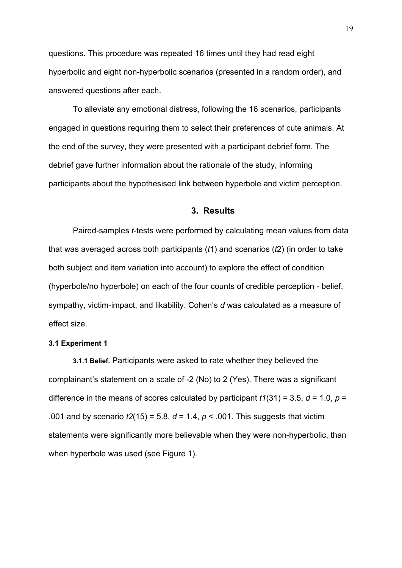questions. This procedure was repeated 16 times until they had read eight hyperbolic and eight non-hyperbolic scenarios (presented in a random order), and answered questions after each.

To alleviate any emotional distress, following the 16 scenarios, participants engaged in questions requiring them to select their preferences of cute animals. At the end of the survey, they were presented with a participant debrief form. The debrief gave further information about the rationale of the study, informing participants about the hypothesised link between hyperbole and victim perception.

# **3. Results**

Paired-samples *t*-tests were performed by calculating mean values from data that was averaged across both participants (*t*1) and scenarios (*t*2) (in order to take both subject and item variation into account) to explore the effect of condition (hyperbole/no hyperbole) on each of the four counts of credible perception - belief, sympathy, victim-impact, and likability. Cohen's *d* was calculated as a measure of effect size.

# **3.1 Experiment 1**

**3.1.1 Belief.** Participants were asked to rate whether they believed the complainant's statement on a scale of -2 (No) to 2 (Yes). There was a significant difference in the means of scores calculated by participant  $t1(31) = 3.5$ ,  $d = 1.0$ ,  $p =$ .001 and by scenario *t2*(15) = 5.8, *d* = 1.4, *p* < .001. This suggests that victim statements were significantly more believable when they were non-hyperbolic, than when hyperbole was used (see Figure 1).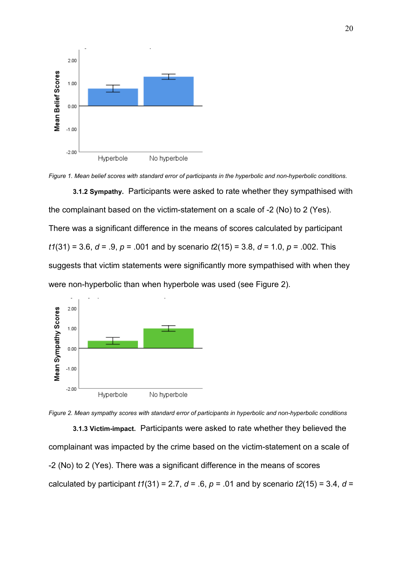



**3.1.2 Sympathy.** Participants were asked to rate whether they sympathised with the complainant based on the victim-statement on a scale of -2 (No) to 2 (Yes). There was a significant difference in the means of scores calculated by participant *t1*(31) = 3.6, *d* = .9, *p* = .001 and by scenario *t*2(15) = 3.8, *d* = 1.0, *p* = .002. This suggests that victim statements were significantly more sympathised with when they were non-hyperbolic than when hyperbole was used (see Figure 2).





**3.1.3 Victim-impact.** Participants were asked to rate whether they believed the complainant was impacted by the crime based on the victim-statement on a scale of -2 (No) to 2 (Yes). There was a significant difference in the means of scores calculated by participant  $t1(31) = 2.7$ ,  $d = .6$ ,  $p = .01$  and by scenario  $t2(15) = 3.4$ ,  $d =$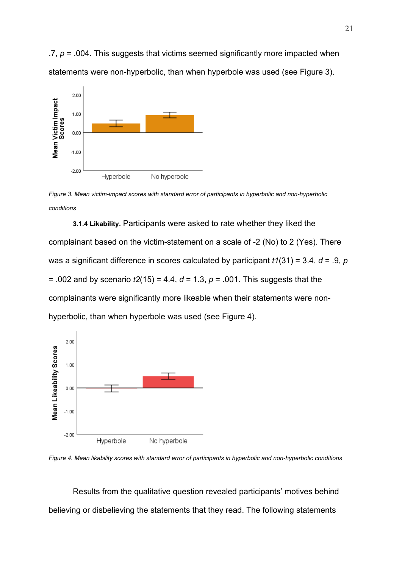$.7, p = .004$ . This suggests that victims seemed significantly more impacted when statements were non-hyperbolic, than when hyperbole was used (see Figure 3).



*Figure 3. Mean victim-impact scores with standard error of participants in hyperbolic and non-hyperbolic conditions*

**3.1.4 Likability.** Participants were asked to rate whether they liked the complainant based on the victim-statement on a scale of -2 (No) to 2 (Yes). There was a significant difference in scores calculated by participant *t1*(31) = 3.4, *d* = .9, *p* = .002 and by scenario *t2*(15) = 4.4, *d* = 1.3, *p* = .001. This suggests that the complainants were significantly more likeable when their statements were nonhyperbolic, than when hyperbole was used (see Figure 4).



*Figure 4. Mean likability scores with standard error of participants in hyperbolic and non-hyperbolic conditions*

Results from the qualitative question revealed participants' motives behind believing or disbelieving the statements that they read. The following statements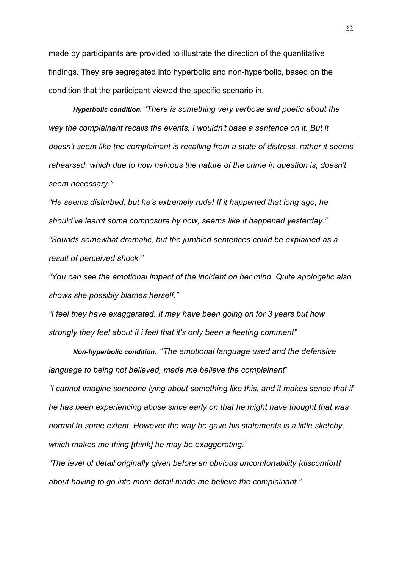made by participants are provided to illustrate the direction of the quantitative findings. They are segregated into hyperbolic and non-hyperbolic, based on the condition that the participant viewed the specific scenario in.

*Hyperbolic condition. "There is something very verbose and poetic about the*  way the complainant recalls the events. I wouldn't base a sentence on it. But it *doesn't seem like the complainant is recalling from a state of distress, rather it seems rehearsed; which due to how heinous the nature of the crime in question is, doesn't seem necessary."*

*"He seems disturbed, but he's extremely rude! If it happened that long ago, he should've learnt some composure by now, seems like it happened yesterday." "Sounds somewhat dramatic, but the jumbled sentences could be explained as a result of perceived shock."*

*"You can see the emotional impact of the incident on her mind. Quite apologetic also shows she possibly blames herself."*

*"I feel they have exaggerated. It may have been going on for 3 years but how strongly they feel about it i feel that it's only been a fleeting comment"*

*Non-hyperbolic condition.* "*The emotional language used and the defensive language to being not believed, made me believe the complainant*" *"I cannot imagine someone lying about something like this, and it makes sense that if he has been experiencing abuse since early on that he might have thought that was normal to some extent. However the way he gave his statements is a little sketchy, which makes me thing [think] he may be exaggerating."*

*"The level of detail originally given before an obvious uncomfortability [discomfort] about having to go into more detail made me believe the complainant."*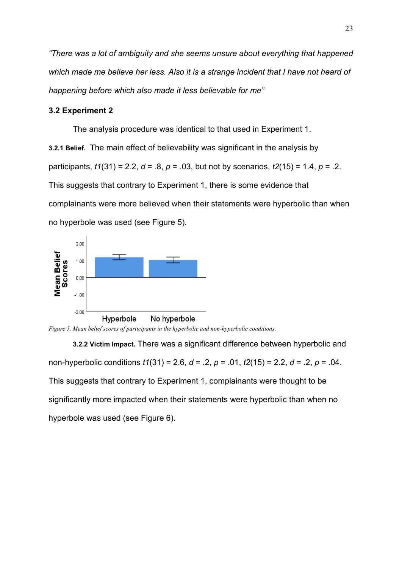*"There was a lot of ambiguity and she seems unsure about everything that happened which made me believe her less. Also it is a strange incident that I have not heard of happening before which also made it less believable for me"*

# **3.2 Experiment 2**

The analysis procedure was identical to that used in Experiment 1.

**3.2.1 Belief.** The main effect of believability was significant in the analysis by participants, *t1*(31) = 2.2, *d* = .8, *p* = .03, but not by scenarios, *t2*(15) = 1.4, *p* = .2. This suggests that contrary to Experiment 1, there is some evidence that complainants were more believed when their statements were hyperbolic than when no hyperbole was used (see Figure 5).



*Figure 5. Mean belief scores of participants in the hyperbolic and non-hyperbolic conditions.*

**3.2.2 Victim Impact.** There was a significant difference between hyperbolic and non-hyperbolic conditions *t1*(31) = 2.6, *d* = .2, *p* = .01, *t2*(15) = 2.2, *d* = .2, *p* = .04. This suggests that contrary to Experiment 1, complainants were thought to be significantly more impacted when their statements were hyperbolic than when no hyperbole was used (see Figure 6).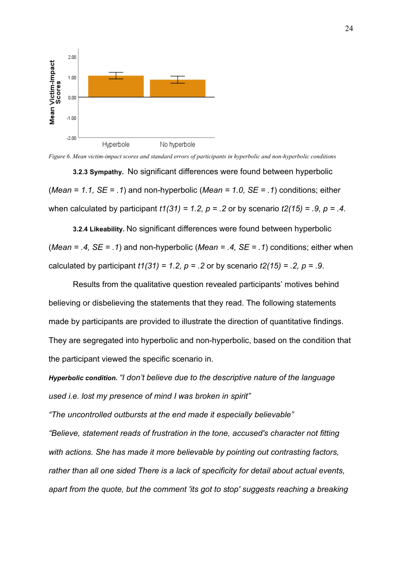

*Figure 6. Mean victim-impact scores and standard errors of participants in hyperbolic and non-hyperbolic conditions*

**3.2.3 Sympathy.** No significant differences were found between hyperbolic (*Mean = 1.1, SE = .1*) and non-hyperbolic (*Mean = 1.0, SE = .1*) conditions; either when calculated by participant *t1(31) = 1.2, p = .2* or by scenario *t2(15) = .9, p = .4.*

**3.2.4 Likeability.** No significant differences were found between hyperbolic (*Mean = .4, SE = .1*) and non-hyperbolic (*Mean = .4, SE = .1*) conditions; either when calculated by participant *t1(31) = 1.2, p = .2* or by scenario *t2(15) = .2, p = .9*.

Results from the qualitative question revealed participants' motives behind believing or disbelieving the statements that they read. The following statements made by participants are provided to illustrate the direction of quantitative findings. They are segregated into hyperbolic and non-hyperbolic, based on the condition that the participant viewed the specific scenario in.

*Hyperbolic condition. "I don't believe due to the descriptive nature of the language used i.e. lost my presence of mind I was broken in spirit"*

*"The uncontrolled outbursts at the end made it especially believable"*

*"Believe, statement reads of frustration in the tone, accused's character not fitting with actions. She has made it more believable by pointing out contrasting factors, rather than all one sided There is a lack of specificity for detail about actual events, apart from the quote, but the comment 'its got to stop' suggests reaching a breaking*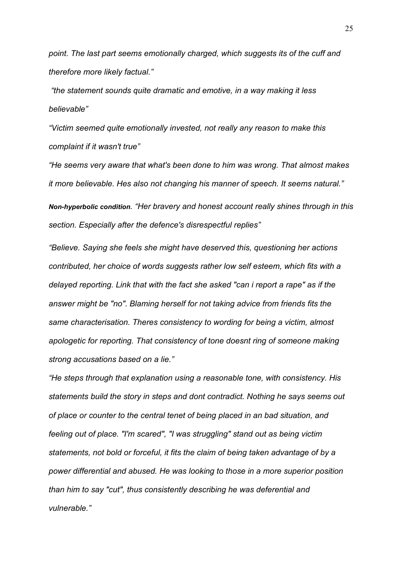*point. The last part seems emotionally charged, which suggests its of the cuff and therefore more likely factual."*

*"the statement sounds quite dramatic and emotive, in a way making it less believable"*

*"Victim seemed quite emotionally invested, not really any reason to make this complaint if it wasn't true"*

*"He seems very aware that what's been done to him was wrong. That almost makes it more believable. Hes also not changing his manner of speech. It seems natural."*

*Non-hyperbolic condition. "Her bravery and honest account really shines through in this section. Especially after the defence's disrespectful replies"*

*"Believe. Saying she feels she might have deserved this, questioning her actions contributed, her choice of words suggests rather low self esteem, which fits with a delayed reporting. Link that with the fact she asked "can i report a rape" as if the answer might be "no". Blaming herself for not taking advice from friends fits the same characterisation. Theres consistency to wording for being a victim, almost apologetic for reporting. That consistency of tone doesnt ring of someone making strong accusations based on a lie."*

*"He steps through that explanation using a reasonable tone, with consistency. His statements build the story in steps and dont contradict. Nothing he says seems out of place or counter to the central tenet of being placed in an bad situation, and feeling out of place. "I'm scared", "I was struggling" stand out as being victim statements, not bold or forceful, it fits the claim of being taken advantage of by a power differential and abused. He was looking to those in a more superior position than him to say "cut", thus consistently describing he was deferential and vulnerable."*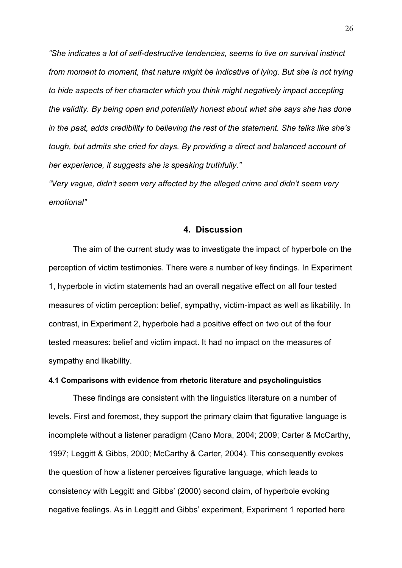*"She indicates a lot of self-destructive tendencies, seems to live on survival instinct from moment to moment, that nature might be indicative of lying. But she is not trying to hide aspects of her character which you think might negatively impact accepting the validity. By being open and potentially honest about what she says she has done in the past, adds credibility to believing the rest of the statement. She talks like she's tough, but admits she cried for days. By providing a direct and balanced account of her experience, it suggests she is speaking truthfully."*

*"Very vague, didn't seem very affected by the alleged crime and didn't seem very emotional"*

#### **4. Discussion**

The aim of the current study was to investigate the impact of hyperbole on the perception of victim testimonies. There were a number of key findings. In Experiment 1, hyperbole in victim statements had an overall negative effect on all four tested measures of victim perception: belief, sympathy, victim-impact as well as likability. In contrast, in Experiment 2, hyperbole had a positive effect on two out of the four tested measures: belief and victim impact. It had no impact on the measures of sympathy and likability.

# **4.1 Comparisons with evidence from rhetoric literature and psycholinguistics**

These findings are consistent with the linguistics literature on a number of levels. First and foremost, they support the primary claim that figurative language is incomplete without a listener paradigm (Cano Mora, 2004; 2009; Carter & McCarthy, 1997; Leggitt & Gibbs, 2000; McCarthy & Carter, 2004). This consequently evokes the question of how a listener perceives figurative language, which leads to consistency with Leggitt and Gibbs' (2000) second claim, of hyperbole evoking negative feelings. As in Leggitt and Gibbs' experiment, Experiment 1 reported here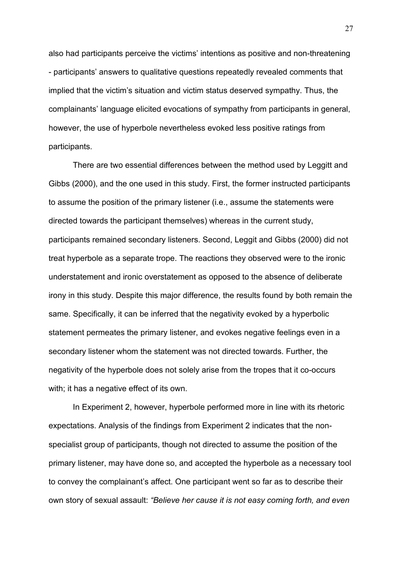also had participants perceive the victims' intentions as positive and non-threatening - participants' answers to qualitative questions repeatedly revealed comments that implied that the victim's situation and victim status deserved sympathy. Thus, the complainants' language elicited evocations of sympathy from participants in general, however, the use of hyperbole nevertheless evoked less positive ratings from participants.

There are two essential differences between the method used by Leggitt and Gibbs (2000), and the one used in this study. First, the former instructed participants to assume the position of the primary listener (i.e., assume the statements were directed towards the participant themselves) whereas in the current study, participants remained secondary listeners. Second, Leggit and Gibbs (2000) did not treat hyperbole as a separate trope. The reactions they observed were to the ironic understatement and ironic overstatement as opposed to the absence of deliberate irony in this study. Despite this major difference, the results found by both remain the same. Specifically, it can be inferred that the negativity evoked by a hyperbolic statement permeates the primary listener, and evokes negative feelings even in a secondary listener whom the statement was not directed towards. Further, the negativity of the hyperbole does not solely arise from the tropes that it co-occurs with; it has a negative effect of its own.

In Experiment 2, however, hyperbole performed more in line with its rhetoric expectations. Analysis of the findings from Experiment 2 indicates that the nonspecialist group of participants, though not directed to assume the position of the primary listener, may have done so, and accepted the hyperbole as a necessary tool to convey the complainant's affect. One participant went so far as to describe their own story of sexual assault: *"Believe her cause it is not easy coming forth, and even*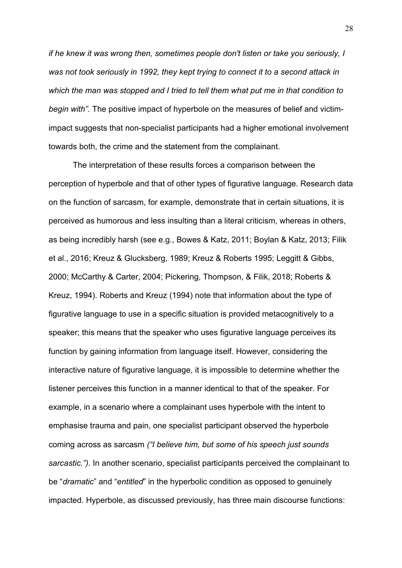*if he knew it was wrong then, sometimes people don't listen or take you seriously, I was not took seriously in 1992, they kept trying to connect it to a second attack in which the man was stopped and I tried to tell them what put me in that condition to begin with".* The positive impact of hyperbole on the measures of belief and victimimpact suggests that non-specialist participants had a higher emotional involvement towards both, the crime and the statement from the complainant.

The interpretation of these results forces a comparison between the perception of hyperbole and that of other types of figurative language. Research data on the function of sarcasm, for example, demonstrate that in certain situations, it is perceived as humorous and less insulting than a literal criticism, whereas in others, as being incredibly harsh (see e.g., Bowes & Katz, 2011; Boylan & Katz, 2013; Filik et al., 2016; Kreuz & Glucksberg, 1989; Kreuz & Roberts 1995; Leggitt & Gibbs, 2000; McCarthy & Carter, 2004; Pickering, Thompson, & Filik, 2018; Roberts & Kreuz, 1994). Roberts and Kreuz (1994) note that information about the type of figurative language to use in a specific situation is provided metacognitively to a speaker; this means that the speaker who uses figurative language perceives its function by gaining information from language itself. However, considering the interactive nature of figurative language, it is impossible to determine whether the listener perceives this function in a manner identical to that of the speaker. For example, in a scenario where a complainant uses hyperbole with the intent to emphasise trauma and pain, one specialist participant observed the hyperbole coming across as sarcasm *("I believe him, but some of his speech just sounds sarcastic.").* In another scenario, specialist participants perceived the complainant to be "*dramatic*" and "*entitled*" in the hyperbolic condition as opposed to genuinely impacted. Hyperbole, as discussed previously, has three main discourse functions: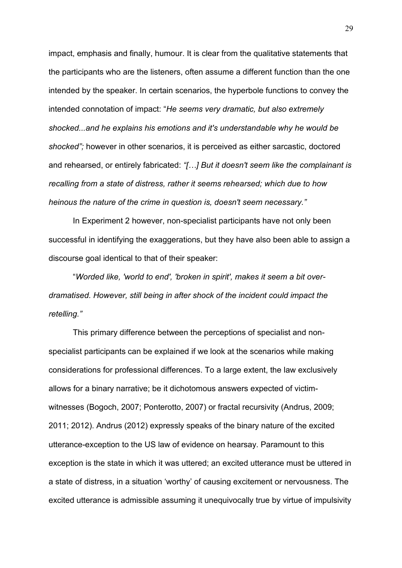impact, emphasis and finally, humour. It is clear from the qualitative statements that the participants who are the listeners, often assume a different function than the one intended by the speaker. In certain scenarios, the hyperbole functions to convey the intended connotation of impact: "*He seems very dramatic, but also extremely shocked...and he explains his emotions and it's understandable why he would be shocked";* however in other scenarios, it is perceived as either sarcastic, doctored and rehearsed, or entirely fabricated: *"[…] But it doesn't seem like the complainant is recalling from a state of distress, rather it seems rehearsed; which due to how heinous the nature of the crime in question is, doesn't seem necessary."*

In Experiment 2 however, non-specialist participants have not only been successful in identifying the exaggerations, but they have also been able to assign a discourse goal identical to that of their speaker:

"*Worded like, 'world to end', 'broken in spirit', makes it seem a bit overdramatised. However, still being in after shock of the incident could impact the retelling."*

This primary difference between the perceptions of specialist and nonspecialist participants can be explained if we look at the scenarios while making considerations for professional differences. To a large extent, the law exclusively allows for a binary narrative; be it dichotomous answers expected of victimwitnesses (Bogoch, 2007; Ponterotto, 2007) or fractal recursivity (Andrus, 2009; 2011; 2012). Andrus (2012) expressly speaks of the binary nature of the excited utterance-exception to the US law of evidence on hearsay. Paramount to this exception is the state in which it was uttered; an excited utterance must be uttered in a state of distress, in a situation 'worthy' of causing excitement or nervousness. The excited utterance is admissible assuming it unequivocally true by virtue of impulsivity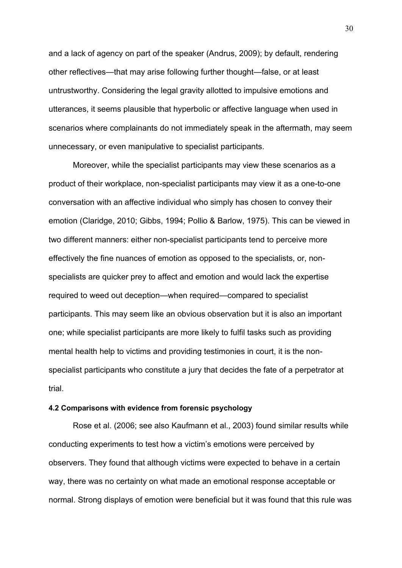and a lack of agency on part of the speaker (Andrus, 2009); by default, rendering other reflectives—that may arise following further thought—false, or at least untrustworthy. Considering the legal gravity allotted to impulsive emotions and utterances, it seems plausible that hyperbolic or affective language when used in scenarios where complainants do not immediately speak in the aftermath, may seem unnecessary, or even manipulative to specialist participants.

Moreover, while the specialist participants may view these scenarios as a product of their workplace, non-specialist participants may view it as a one-to-one conversation with an affective individual who simply has chosen to convey their emotion (Claridge, 2010; Gibbs, 1994; Pollio & Barlow, 1975). This can be viewed in two different manners: either non-specialist participants tend to perceive more effectively the fine nuances of emotion as opposed to the specialists, or, nonspecialists are quicker prey to affect and emotion and would lack the expertise required to weed out deception—when required—compared to specialist participants. This may seem like an obvious observation but it is also an important one; while specialist participants are more likely to fulfil tasks such as providing mental health help to victims and providing testimonies in court, it is the nonspecialist participants who constitute a jury that decides the fate of a perpetrator at trial.

#### **4.2 Comparisons with evidence from forensic psychology**

Rose et al. (2006; see also Kaufmann et al., 2003) found similar results while conducting experiments to test how a victim's emotions were perceived by observers. They found that although victims were expected to behave in a certain way, there was no certainty on what made an emotional response acceptable or normal. Strong displays of emotion were beneficial but it was found that this rule was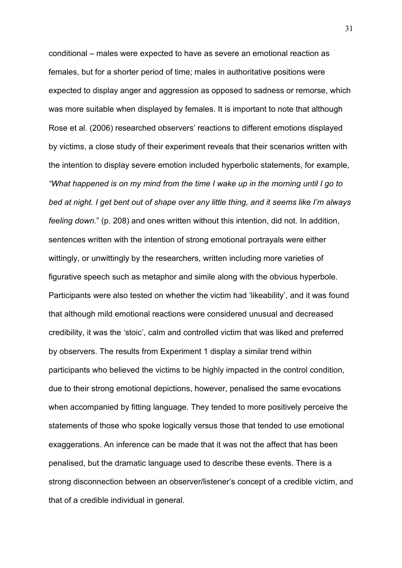conditional – males were expected to have as severe an emotional reaction as females, but for a shorter period of time; males in authoritative positions were expected to display anger and aggression as opposed to sadness or remorse, which was more suitable when displayed by females. It is important to note that although Rose et al. (2006) researched observers' reactions to different emotions displayed by victims, a close study of their experiment reveals that their scenarios written with the intention to display severe emotion included hyperbolic statements, for example, *"What happened is on my mind from the time I wake up in the morning until I go to bed at night. I get bent out of shape over any little thing, and it seems like I'm always feeling down.*" (p. 208) and ones written without this intention, did not. In addition, sentences written with the intention of strong emotional portrayals were either wittingly, or unwittingly by the researchers, written including more varieties of figurative speech such as metaphor and simile along with the obvious hyperbole. Participants were also tested on whether the victim had 'likeability', and it was found that although mild emotional reactions were considered unusual and decreased credibility, it was the 'stoic', calm and controlled victim that was liked and preferred by observers. The results from Experiment 1 display a similar trend within participants who believed the victims to be highly impacted in the control condition, due to their strong emotional depictions, however, penalised the same evocations when accompanied by fitting language. They tended to more positively perceive the statements of those who spoke logically versus those that tended to use emotional exaggerations. An inference can be made that it was not the affect that has been penalised, but the dramatic language used to describe these events. There is a strong disconnection between an observer/listener's concept of a credible victim, and that of a credible individual in general.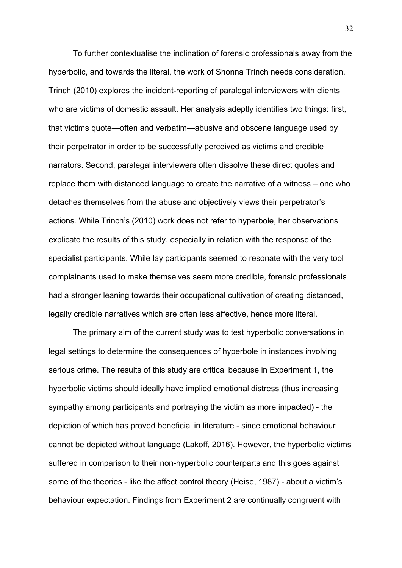To further contextualise the inclination of forensic professionals away from the hyperbolic, and towards the literal, the work of Shonna Trinch needs consideration. Trinch (2010) explores the incident-reporting of paralegal interviewers with clients who are victims of domestic assault. Her analysis adeptly identifies two things: first, that victims quote—often and verbatim—abusive and obscene language used by their perpetrator in order to be successfully perceived as victims and credible narrators. Second, paralegal interviewers often dissolve these direct quotes and replace them with distanced language to create the narrative of a witness – one who detaches themselves from the abuse and objectively views their perpetrator's actions. While Trinch's (2010) work does not refer to hyperbole, her observations explicate the results of this study, especially in relation with the response of the specialist participants. While lay participants seemed to resonate with the very tool complainants used to make themselves seem more credible, forensic professionals had a stronger leaning towards their occupational cultivation of creating distanced, legally credible narratives which are often less affective, hence more literal.

The primary aim of the current study was to test hyperbolic conversations in legal settings to determine the consequences of hyperbole in instances involving serious crime. The results of this study are critical because in Experiment 1, the hyperbolic victims should ideally have implied emotional distress (thus increasing sympathy among participants and portraying the victim as more impacted) - the depiction of which has proved beneficial in literature - since emotional behaviour cannot be depicted without language (Lakoff, 2016). However, the hyperbolic victims suffered in comparison to their non-hyperbolic counterparts and this goes against some of the theories - like the affect control theory (Heise, 1987) - about a victim's behaviour expectation. Findings from Experiment 2 are continually congruent with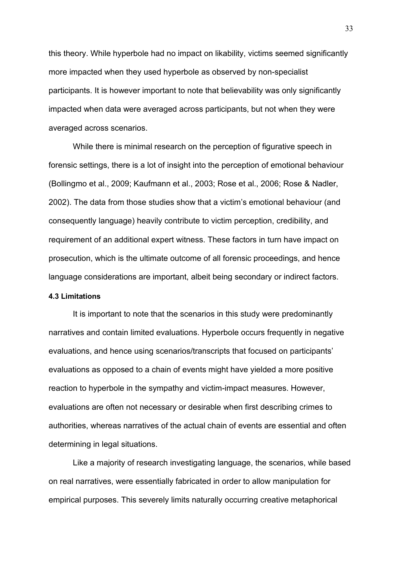this theory. While hyperbole had no impact on likability, victims seemed significantly more impacted when they used hyperbole as observed by non-specialist participants. It is however important to note that believability was only significantly impacted when data were averaged across participants, but not when they were averaged across scenarios.

While there is minimal research on the perception of figurative speech in forensic settings, there is a lot of insight into the perception of emotional behaviour (Bollingmo et al., 2009; Kaufmann et al., 2003; Rose et al., 2006; Rose & Nadler, 2002). The data from those studies show that a victim's emotional behaviour (and consequently language) heavily contribute to victim perception, credibility, and requirement of an additional expert witness. These factors in turn have impact on prosecution, which is the ultimate outcome of all forensic proceedings, and hence language considerations are important, albeit being secondary or indirect factors.

# **4.3 Limitations**

It is important to note that the scenarios in this study were predominantly narratives and contain limited evaluations. Hyperbole occurs frequently in negative evaluations, and hence using scenarios/transcripts that focused on participants' evaluations as opposed to a chain of events might have yielded a more positive reaction to hyperbole in the sympathy and victim-impact measures. However, evaluations are often not necessary or desirable when first describing crimes to authorities, whereas narratives of the actual chain of events are essential and often determining in legal situations.

Like a majority of research investigating language, the scenarios, while based on real narratives, were essentially fabricated in order to allow manipulation for empirical purposes. This severely limits naturally occurring creative metaphorical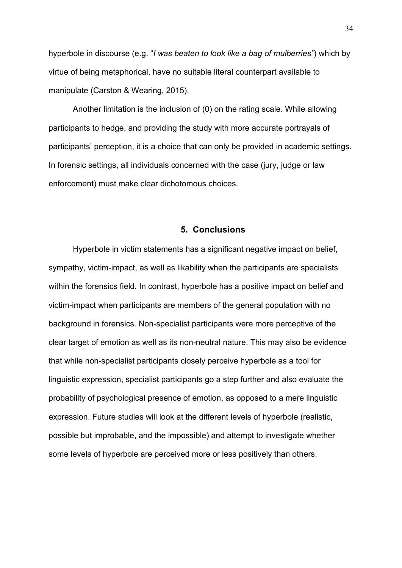hyperbole in discourse (e.g. "*I was beaten to look like a bag of mulberries"*) which by virtue of being metaphorical, have no suitable literal counterpart available to manipulate (Carston & Wearing, 2015).

Another limitation is the inclusion of (0) on the rating scale. While allowing participants to hedge, and providing the study with more accurate portrayals of participants' perception, it is a choice that can only be provided in academic settings. In forensic settings, all individuals concerned with the case (jury, judge or law enforcement) must make clear dichotomous choices.

# **5. Conclusions**

Hyperbole in victim statements has a significant negative impact on belief, sympathy, victim-impact, as well as likability when the participants are specialists within the forensics field. In contrast, hyperbole has a positive impact on belief and victim-impact when participants are members of the general population with no background in forensics. Non-specialist participants were more perceptive of the clear target of emotion as well as its non-neutral nature. This may also be evidence that while non-specialist participants closely perceive hyperbole as a tool for linguistic expression, specialist participants go a step further and also evaluate the probability of psychological presence of emotion, as opposed to a mere linguistic expression. Future studies will look at the different levels of hyperbole (realistic, possible but improbable, and the impossible) and attempt to investigate whether some levels of hyperbole are perceived more or less positively than others.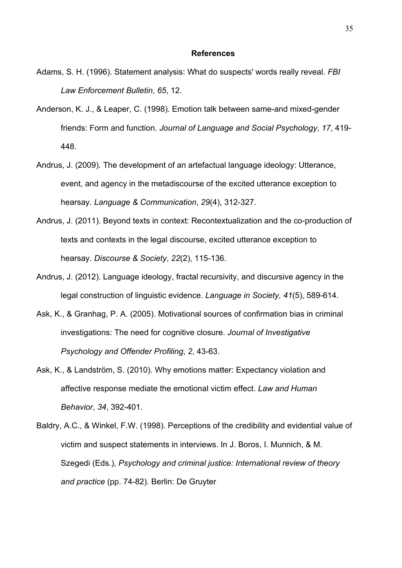#### **References**

- Adams, S. H. (1996). Statement analysis: What do suspects' words really reveal. *FBI Law Enforcement Bulletin*, *65*, 12.
- Anderson, K. J., & Leaper, C. (1998). Emotion talk between same-and mixed-gender friends: Form and function. *Journal of Language and Social Psychology*, *17*, 419- 448.
- Andrus, J. (2009). The development of an artefactual language ideology: Utterance, event, and agency in the metadiscourse of the excited utterance exception to hearsay. *Language & Communication*, *29*(4), 312-327.
- Andrus, J. (2011). Beyond texts in context: Recontextualization and the co-production of texts and contexts in the legal discourse, excited utterance exception to hearsay. *Discourse & Society*, *22*(2), 115-136.
- Andrus, J. (2012). Language ideology, fractal recursivity, and discursive agency in the legal construction of linguistic evidence. *Language in Society, 41*(5), 589-614.
- Ask, K., & Granhag, P. A. (2005). Motivational sources of confirmation bias in criminal investigations: The need for cognitive closure. *Journal of Investigative Psychology and Offender Profiling*, *2*, 43-63.
- Ask, K., & Landström, S. (2010). Why emotions matter: Expectancy violation and affective response mediate the emotional victim effect. *Law and Human Behavior*, *34*, 392-401.
- Baldry, A.C., & Winkel, F.W. (1998). Perceptions of the credibility and evidential value of victim and suspect statements in interviews. In J. Boros, I. Munnich, & M. Szegedi (Eds.), *Psychology and criminal justice: International review of theory and practice* (pp. 74-82). Berlin: De Gruyter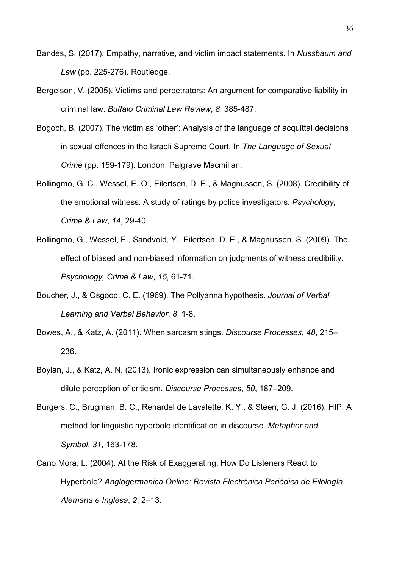- Bandes, S. (2017). Empathy, narrative, and victim impact statements. In *Nussbaum and Law* (pp. 225-276). Routledge.
- Bergelson, V. (2005). Victims and perpetrators: An argument for comparative liability in criminal law. *Buffalo Criminal Law Review*, *8*, 385-487.
- Bogoch, B. (2007). The victim as 'other': Analysis of the language of acquittal decisions in sexual offences in the Israeli Supreme Court. In *The Language of Sexual Crime* (pp. 159-179). London: Palgrave Macmillan.
- Bollingmo, G. C., Wessel, E. O., Eilertsen, D. E., & Magnussen, S. (2008). Credibility of the emotional witness: A study of ratings by police investigators. *Psychology, Crime & Law*, *14*, 29-40.
- Bollingmo, G., Wessel, E., Sandvold, Y., Eilertsen, D. E., & Magnussen, S. (2009). The effect of biased and non-biased information on judgments of witness credibility. *Psychology, Crime & Law*, *15*, 61-71.
- Boucher, J., & Osgood, C. E. (1969). The Pollyanna hypothesis. *Journal of Verbal Learning and Verbal Behavior*, *8*, 1-8.
- Bowes, A., & Katz, A. (2011). When sarcasm stings. *Discourse Processes*, *48*, 215– 236.
- Boylan, J., & Katz, A. N. (2013). Ironic expression can simultaneously enhance and dilute perception of criticism. *Discourse Processes*, *50*, 187–209.
- Burgers, C., Brugman, B. C., Renardel de Lavalette, K. Y., & Steen, G. J. (2016). HIP: A method for linguistic hyperbole identification in discourse. *Metaphor and Symbol*, *31*, 163-178.
- Cano Mora, L. (2004). At the Risk of Exaggerating: How Do Listeners React to Hyperbole? *Anglogermanica Online: Revista Electrónica Periódica de Filología Alemana e Inglesa*, *2*, 2–13.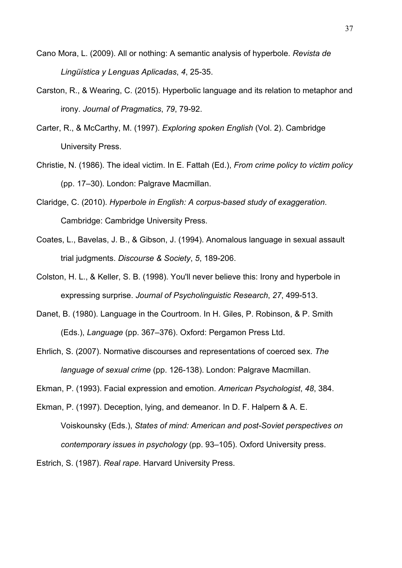- Cano Mora, L. (2009). All or nothing: A semantic analysis of hyperbole. *Revista de Lingüística y Lenguas Aplicadas*, *4*, 25-35.
- Carston, R., & Wearing, C. (2015). Hyperbolic language and its relation to metaphor and irony. *Journal of Pragmatics*, *79*, 79-92.
- Carter, R., & McCarthy, M. (1997). *Exploring spoken English* (Vol. 2). Cambridge University Press.
- Christie, N. (1986). The ideal victim. In E. Fattah (Ed.), *From crime policy to victim policy* (pp. 17–30). London: Palgrave Macmillan.
- Claridge, C. (2010). *Hyperbole in English: A corpus-based study of exaggeration*. Cambridge: Cambridge University Press.
- Coates, L., Bavelas, J. B., & Gibson, J. (1994). Anomalous language in sexual assault trial judgments. *Discourse & Society*, *5*, 189-206.
- Colston, H. L., & Keller, S. B. (1998). You'll never believe this: Irony and hyperbole in expressing surprise. *Journal of Psycholinguistic Research*, *27*, 499-513.
- Danet, B. (1980). Language in the Courtroom. In H. Giles, P. Robinson, & P. Smith (Eds.), *Language* (pp. 367–376). Oxford: Pergamon Press Ltd.
- Ehrlich, S. (2007). Normative discourses and representations of coerced sex. *The language of sexual crime* (pp. 126-138). London: Palgrave Macmillan.

Ekman, P. (1993). Facial expression and emotion. *American Psychologist*, *48*, 384.

Ekman, P. (1997). Deception, lying, and demeanor. In D. F. Halpern & A. E. Voiskounsky (Eds.), *States of mind: American and post-Soviet perspectives on contemporary issues in psychology* (pp. 93–105). Oxford University press.

Estrich, S. (1987). *Real rape*. Harvard University Press.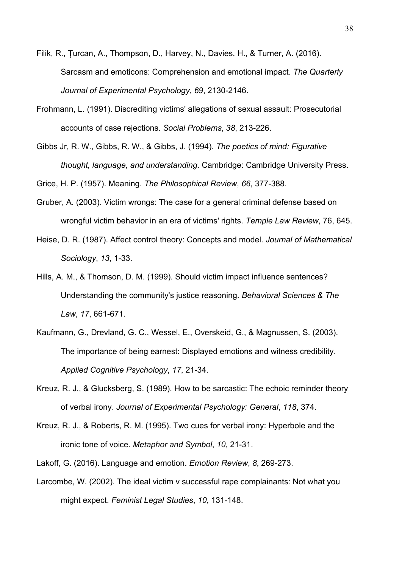- Filik, R., Țurcan, A., Thompson, D., Harvey, N., Davies, H., & Turner, A. (2016). Sarcasm and emoticons: Comprehension and emotional impact. *The Quarterly Journal of Experimental Psychology*, *69*, 2130-2146.
- Frohmann, L. (1991). Discrediting victims' allegations of sexual assault: Prosecutorial accounts of case rejections. *Social Problems*, *38*, 213-226.
- Gibbs Jr, R. W., Gibbs, R. W., & Gibbs, J. (1994). *The poetics of mind: Figurative thought, language, and understanding*. Cambridge: Cambridge University Press.

Grice, H. P. (1957). Meaning. *The Philosophical Review*, *66*, 377-388.

- Gruber, A. (2003). Victim wrongs: The case for a general criminal defense based on wrongful victim behavior in an era of victims' rights. *Temple Law Review*, 76, 645.
- Heise, D. R. (1987). Affect control theory: Concepts and model. *Journal of Mathematical Sociology*, *13*, 1-33.
- Hills, A. M., & Thomson, D. M. (1999). Should victim impact influence sentences? Understanding the community's justice reasoning. *Behavioral Sciences & The Law*, *17*, 661-671.
- Kaufmann, G., Drevland, G. C., Wessel, E., Overskeid, G., & Magnussen, S. (2003). The importance of being earnest: Displayed emotions and witness credibility. *Applied Cognitive Psychology*, *17*, 21-34.
- Kreuz, R. J., & Glucksberg, S. (1989). How to be sarcastic: The echoic reminder theory of verbal irony. *Journal of Experimental Psychology: General*, *118*, 374.
- Kreuz, R. J., & Roberts, R. M. (1995). Two cues for verbal irony: Hyperbole and the ironic tone of voice. *Metaphor and Symbol*, *10*, 21-31.
- Lakoff, G. (2016). Language and emotion. *Emotion Review*, *8*, 269-273.
- Larcombe, W. (2002). The ideal victim v successful rape complainants: Not what you might expect. *Feminist Legal Studies*, *10*, 131-148.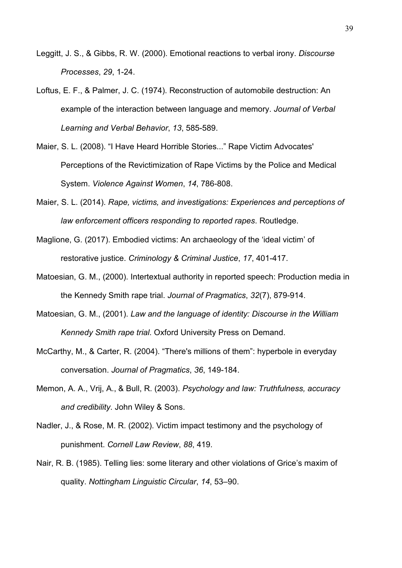- Leggitt, J. S., & Gibbs, R. W. (2000). Emotional reactions to verbal irony. *Discourse Processes*, *29*, 1-24.
- Loftus, E. F., & Palmer, J. C. (1974). Reconstruction of automobile destruction: An example of the interaction between language and memory. *Journal of Verbal Learning and Verbal Behavior*, *13*, 585-589.
- Maier, S. L. (2008). "I Have Heard Horrible Stories..." Rape Victim Advocates' Perceptions of the Revictimization of Rape Victims by the Police and Medical System. *Violence Against Women*, *14*, 786-808.
- Maier, S. L. (2014). *Rape, victims, and investigations: Experiences and perceptions of law enforcement officers responding to reported rapes*. Routledge.
- Maglione, G. (2017). Embodied victims: An archaeology of the 'ideal victim' of restorative justice. *Criminology & Criminal Justice*, *17*, 401-417.
- Matoesian, G. M., (2000). Intertextual authority in reported speech: Production media in the Kennedy Smith rape trial. *Journal of Pragmatics*, *32*(7), 879-914.
- Matoesian, G. M., (2001). *Law and the language of identity: Discourse in the William Kennedy Smith rape trial*. Oxford University Press on Demand.
- McCarthy, M., & Carter, R. (2004). "There's millions of them": hyperbole in everyday conversation. *Journal of Pragmatics*, *36*, 149-184.
- Memon, A. A., Vrij, A., & Bull, R. (2003). *Psychology and law: Truthfulness, accuracy and credibility*. John Wiley & Sons.
- Nadler, J., & Rose, M. R. (2002). Victim impact testimony and the psychology of punishment. *Cornell Law Review*, *88*, 419.
- Nair, R. B. (1985). Telling lies: some literary and other violations of Grice's maxim of quality. *Nottingham Linguistic Circular*, *14*, 53–90.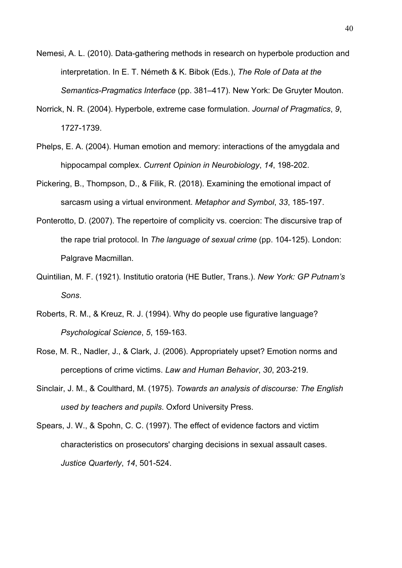- Nemesi, A. L. (2010). Data-gathering methods in research on hyperbole production and interpretation. In E. T. Németh & K. Bibok (Eds.), *The Role of Data at the Semantics-Pragmatics Interface* (pp. 381–417). New York: De Gruyter Mouton.
- Norrick, N. R. (2004). Hyperbole, extreme case formulation. *Journal of Pragmatics*, *9*, 1727-1739.
- Phelps, E. A. (2004). Human emotion and memory: interactions of the amygdala and hippocampal complex. *Current Opinion in Neurobiology*, *14*, 198-202.
- Pickering, B., Thompson, D., & Filik, R. (2018). Examining the emotional impact of sarcasm using a virtual environment. *Metaphor and Symbol*, *33*, 185-197.
- Ponterotto, D. (2007). The repertoire of complicity vs. coercion: The discursive trap of the rape trial protocol. In *The language of sexual crime* (pp. 104-125). London: Palgrave Macmillan.
- Quintilian, M. F. (1921). Institutio oratoria (HE Butler, Trans.). *New York: GP Putnam's Sons*.
- Roberts, R. M., & Kreuz, R. J. (1994). Why do people use figurative language? *Psychological Science*, *5*, 159-163.
- Rose, M. R., Nadler, J., & Clark, J. (2006). Appropriately upset? Emotion norms and perceptions of crime victims. *Law and Human Behavior*, *30*, 203-219.
- Sinclair, J. M., & Coulthard, M. (1975). *Towards an analysis of discourse: The English used by teachers and pupils*. Oxford University Press.
- Spears, J. W., & Spohn, C. C. (1997). The effect of evidence factors and victim characteristics on prosecutors' charging decisions in sexual assault cases. *Justice Quarterly*, *14*, 501-524.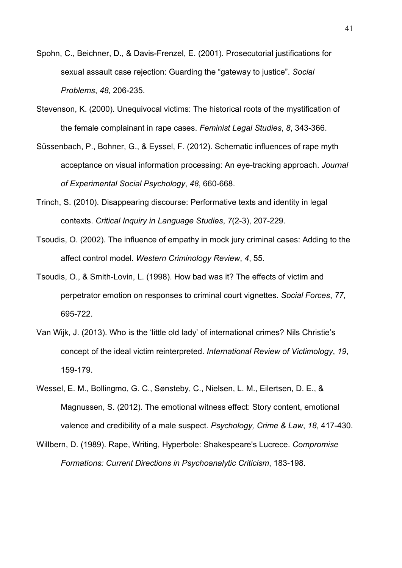- Spohn, C., Beichner, D., & Davis-Frenzel, E. (2001). Prosecutorial justifications for sexual assault case rejection: Guarding the "gateway to justice". *Social Problems*, *48*, 206-235.
- Stevenson, K. (2000). Unequivocal victims: The historical roots of the mystification of the female complainant in rape cases. *Feminist Legal Studies*, *8*, 343-366.
- Süssenbach, P., Bohner, G., & Eyssel, F. (2012). Schematic influences of rape myth acceptance on visual information processing: An eye-tracking approach. *Journal of Experimental Social Psychology*, *48*, 660-668.
- Trinch, S. (2010). Disappearing discourse: Performative texts and identity in legal contexts. *Critical Inquiry in Language Studies*, *7*(2-3), 207-229.
- Tsoudis, O. (2002). The influence of empathy in mock jury criminal cases: Adding to the affect control model. *Western Criminology Review*, *4*, 55.
- Tsoudis, O., & Smith-Lovin, L. (1998). How bad was it? The effects of victim and perpetrator emotion on responses to criminal court vignettes. *Social Forces*, *77*, 695-722.
- Van Wijk, J. (2013). Who is the 'little old lady' of international crimes? Nils Christie's concept of the ideal victim reinterpreted. *International Review of Victimology*, *19*, 159-179.
- Wessel, E. M., Bollingmo, G. C., Sønsteby, C., Nielsen, L. M., Eilertsen, D. E., & Magnussen, S. (2012). The emotional witness effect: Story content, emotional valence and credibility of a male suspect. *Psychology, Crime & Law*, *18*, 417-430.
- Willbern, D. (1989). Rape, Writing, Hyperbole: Shakespeare's Lucrece. *Compromise Formations: Current Directions in Psychoanalytic Criticism*, 183-198.